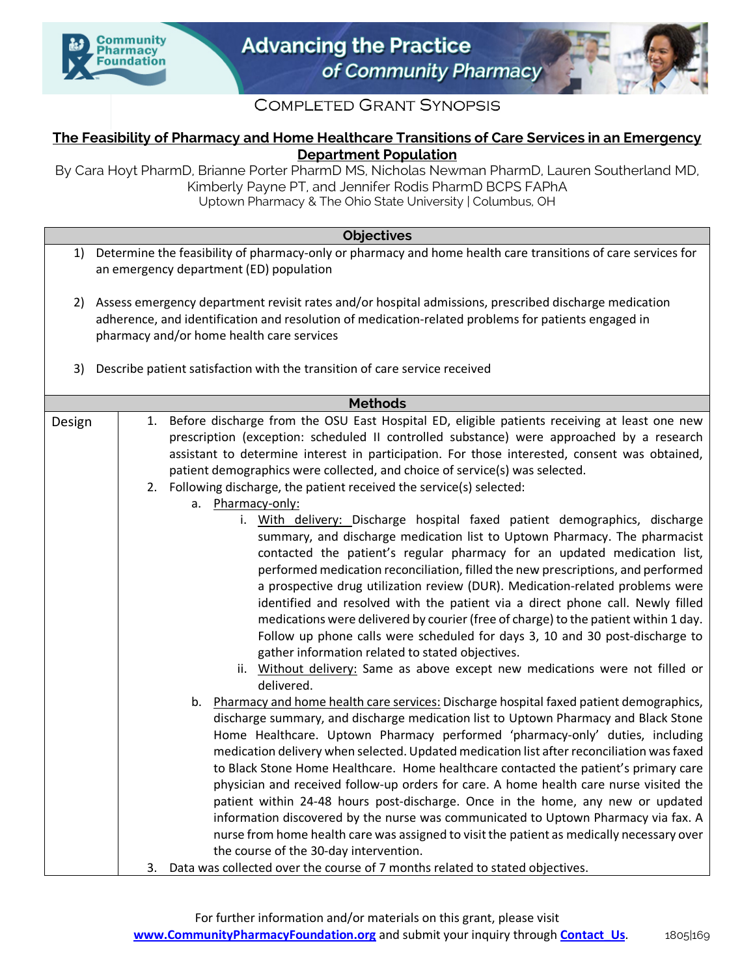



## **COMPLETED GRANT SYNOPSIS**

## **The Feasibility of Pharmacy and Home Healthcare Transitions of Care Services in an Emergency Department Population**

By Cara Hoyt PharmD, Brianne Porter PharmD MS, Nicholas Newman PharmD, Lauren Southerland MD, Kimberly Payne PT, and Jennifer Rodis PharmD BCPS FAPhA Uptown Pharmacy & The Ohio State University | Columbus, OH

## **Objectives** 1) Determine the feasibility of pharmacy-only or pharmacy and home health care transitions of care services for an emergency department (ED) population 2) Assess emergency department revisit rates and/or hospital admissions, prescribed discharge medication adherence, and identification and resolution of medication-related problems for patients engaged in pharmacy and/or home health care services 3) Describe patient satisfaction with the transition of care service received

| <b>Methods</b> |                                                                                                                                                                           |
|----------------|---------------------------------------------------------------------------------------------------------------------------------------------------------------------------|
| Design         | 1. Before discharge from the OSU East Hospital ED, eligible patients receiving at least one new                                                                           |
|                | prescription (exception: scheduled II controlled substance) were approached by a research                                                                                 |
|                | assistant to determine interest in participation. For those interested, consent was obtained,                                                                             |
|                | patient demographics were collected, and choice of service(s) was selected.                                                                                               |
|                | 2. Following discharge, the patient received the service(s) selected:                                                                                                     |
|                | a. Pharmacy-only:                                                                                                                                                         |
|                | i. With delivery: Discharge hospital faxed patient demographics, discharge                                                                                                |
|                | summary, and discharge medication list to Uptown Pharmacy. The pharmacist                                                                                                 |
|                | contacted the patient's regular pharmacy for an updated medication list,                                                                                                  |
|                | performed medication reconciliation, filled the new prescriptions, and performed                                                                                          |
|                | a prospective drug utilization review (DUR). Medication-related problems were                                                                                             |
|                | identified and resolved with the patient via a direct phone call. Newly filled                                                                                            |
|                | medications were delivered by courier (free of charge) to the patient within 1 day.                                                                                       |
|                | Follow up phone calls were scheduled for days 3, 10 and 30 post-discharge to                                                                                              |
|                | gather information related to stated objectives.                                                                                                                          |
|                | ii. Without delivery: Same as above except new medications were not filled or                                                                                             |
|                | delivered.                                                                                                                                                                |
|                | Pharmacy and home health care services: Discharge hospital faxed patient demographics,<br>b.                                                                              |
|                | discharge summary, and discharge medication list to Uptown Pharmacy and Black Stone                                                                                       |
|                | Home Healthcare. Uptown Pharmacy performed 'pharmacy-only' duties, including<br>medication delivery when selected. Updated medication list after reconciliation was faxed |
|                | to Black Stone Home Healthcare. Home healthcare contacted the patient's primary care                                                                                      |
|                | physician and received follow-up orders for care. A home health care nurse visited the                                                                                    |
|                | patient within 24-48 hours post-discharge. Once in the home, any new or updated                                                                                           |
|                | information discovered by the nurse was communicated to Uptown Pharmacy via fax. A                                                                                        |
|                | nurse from home health care was assigned to visit the patient as medically necessary over                                                                                 |
|                | the course of the 30-day intervention.                                                                                                                                    |
|                | 3. Data was collected over the course of 7 months related to stated objectives.                                                                                           |
|                |                                                                                                                                                                           |